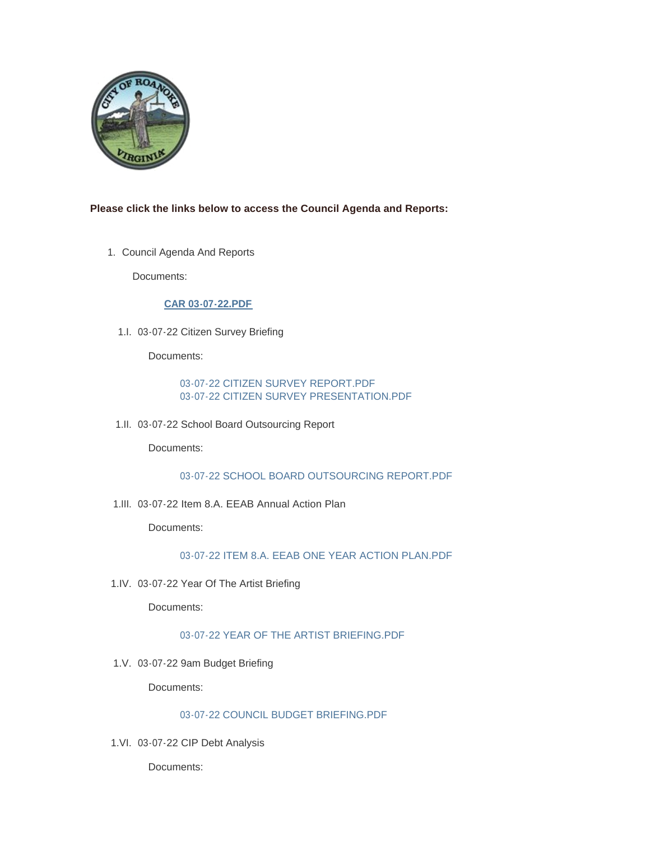

## **Please click the links below to access the Council Agenda and Reports:**

1. Council Agenda And Reports

Documents:

# **[CAR 03-07-22.PDF](https://www.roanokeva.gov/AgendaCenter/ViewFile/Item/1049?fileID=18670)**

03-07-22 Citizen Survey Briefing 1.I.

Documents:

## [03-07-22 CITIZEN SURVEY REPORT.PDF](https://www.roanokeva.gov/AgendaCenter/ViewFile/Item/1050?fileID=18671) [03-07-22 CITIZEN SURVEY PRESENTATION.PDF](https://www.roanokeva.gov/AgendaCenter/ViewFile/Item/1050?fileID=18672)

03-07-22 School Board Outsourcing Report 1.II.

Documents:

## [03-07-22 SCHOOL BOARD OUTSOURCING REPORT.PDF](https://www.roanokeva.gov/AgendaCenter/ViewFile/Item/1051?fileID=18673)

03-07-22 Item 8.A. EEAB Annual Action Plan 1.III.

Documents:

## [03-07-22 ITEM 8.A. EEAB ONE YEAR ACTION PLAN.PDF](https://www.roanokeva.gov/AgendaCenter/ViewFile/Item/1052?fileID=18674)

03-07-22 Year Of The Artist Briefing 1.IV.

Documents:

# [03-07-22 YEAR OF THE ARTIST BRIEFING.PDF](https://www.roanokeva.gov/AgendaCenter/ViewFile/Item/1053?fileID=18675)

03-07-22 9am Budget Briefing 1.V.

Documents:

#### [03-07-22 COUNCIL BUDGET BRIEFING.PDF](https://www.roanokeva.gov/AgendaCenter/ViewFile/Item/1054?fileID=18676)

03-07-22 CIP Debt Analysis 1.VI.

Documents: